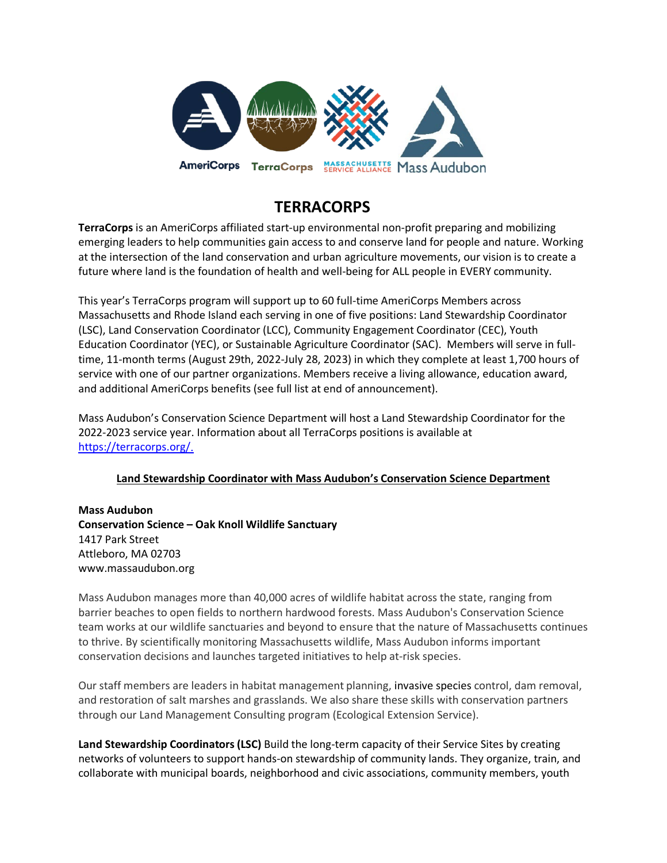

# **TERRACORPS**

**TerraCorps** is an AmeriCorps affiliated start-up environmental non-profit preparing and mobilizing emerging leaders to help communities gain access to and conserve land for people and nature. Working at the intersection of the land conservation and urban agriculture movements, our vision is to create a future where land is the foundation of health and well-being for ALL people in EVERY community.

This year's TerraCorps program will support up to 60 full-time AmeriCorps Members across Massachusetts and Rhode Island each serving in one of five positions: Land Stewardship Coordinator (LSC), Land Conservation Coordinator (LCC), Community Engagement Coordinator (CEC), Youth Education Coordinator (YEC), or Sustainable Agriculture Coordinator (SAC). Members will serve in fulltime, 11-month terms (August 29th, 2022-July 28, 2023) in which they complete at least 1,700 hours of service with one of our partner organizations. Members receive a living allowance, education award, and additional AmeriCorps benefits (see full list at end of announcement).

Mass Audubon's Conservation Science Department will host a Land Stewardship Coordinator for the 2022-2023 service year. Information about all TerraCorps positions is available at [https://terracorps.org/.](https://terracorps.org/)

# **Land Stewardship Coordinator with Mass Audubon's Conservation Science Department**

**Mass Audubon Conservation Science – Oak Knoll Wildlife Sanctuary** 1417 Park Street Attleboro, MA 02703 www.massaudubon.org

Mass Audubon manages more than 40,000 acres of wildlife habitat across the state, ranging from barrier beaches to open fields to northern hardwood forests. Mass Audubon's Conservation Science team works at our wildlife sanctuaries and beyond to ensure that the nature of Massachusetts continues to thrive. By scientifically monitoring Massachusetts wildlife, Mass Audubon informs important conservation decisions and launches targeted initiatives to help at-risk species.

Our staff members are leaders in habitat management planning, invasive species control, dam removal, and restoration of salt marshes and grasslands. We also share these skills with conservation partners through our Land Management Consulting program (Ecological Extension Service).

**Land Stewardship Coordinators (LSC)** Build the long-term capacity of their Service Sites by creating networks of volunteers to support hands-on stewardship of community lands. They organize, train, and collaborate with municipal boards, neighborhood and civic associations, community members, youth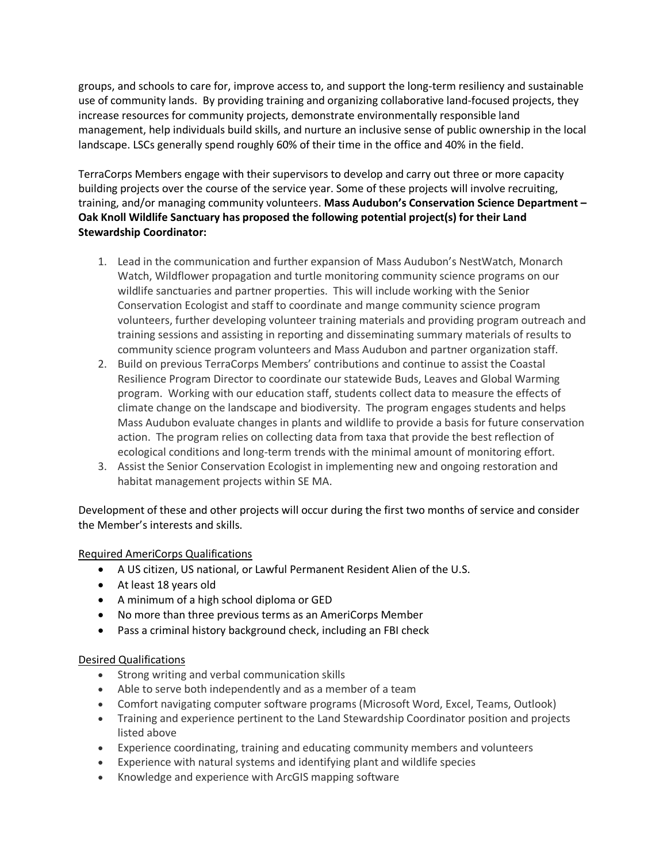groups, and schools to care for, improve access to, and support the long-term resiliency and sustainable use of community lands. By providing training and organizing collaborative land-focused projects, they increase resources for community projects, demonstrate environmentally responsible land management, help individuals build skills, and nurture an inclusive sense of public ownership in the local landscape. LSCs generally spend roughly 60% of their time in the office and 40% in the field.

TerraCorps Members engage with their supervisors to develop and carry out three or more capacity building projects over the course of the service year. Some of these projects will involve recruiting, training, and/or managing community volunteers. **Mass Audubon's Conservation Science Department – Oak Knoll Wildlife Sanctuary has proposed the following potential project(s) for their Land Stewardship Coordinator:**

- 1. Lead in the communication and further expansion of Mass Audubon's NestWatch, Monarch Watch, Wildflower propagation and turtle monitoring community science programs on our wildlife sanctuaries and partner properties. This will include working with the Senior Conservation Ecologist and staff to coordinate and mange community science program volunteers, further developing volunteer training materials and providing program outreach and training sessions and assisting in reporting and disseminating summary materials of results to community science program volunteers and Mass Audubon and partner organization staff.
- 2. Build on previous TerraCorps Members' contributions and continue to assist the Coastal Resilience Program Director to coordinate our statewide Buds, Leaves and Global Warming program. Working with our education staff, students collect data to measure the effects of climate change on the landscape and biodiversity. The program engages students and helps Mass Audubon evaluate changes in plants and wildlife to provide a basis for future conservation action. The program relies on collecting data from taxa that provide the best reflection of ecological conditions and long-term trends with the minimal amount of monitoring effort.
- 3. Assist the Senior Conservation Ecologist in implementing new and ongoing restoration and habitat management projects within SE MA.

Development of these and other projects will occur during the first two months of service and consider the Member's interests and skills.

# Required AmeriCorps Qualifications

- A US citizen, US national, or Lawful Permanent Resident Alien of the U.S.
- At least 18 years old
- A minimum of a high school diploma or GED
- No more than three previous terms as an AmeriCorps Member
- Pass a criminal history background check, including an FBI check

# Desired Qualifications

- Strong writing and verbal communication skills
- Able to serve both independently and as a member of a team
- Comfort navigating computer software programs (Microsoft Word, Excel, Teams, Outlook)
- Training and experience pertinent to the Land Stewardship Coordinator position and projects listed above
- Experience coordinating, training and educating community members and volunteers
- Experience with natural systems and identifying plant and wildlife species
- Knowledge and experience with ArcGIS mapping software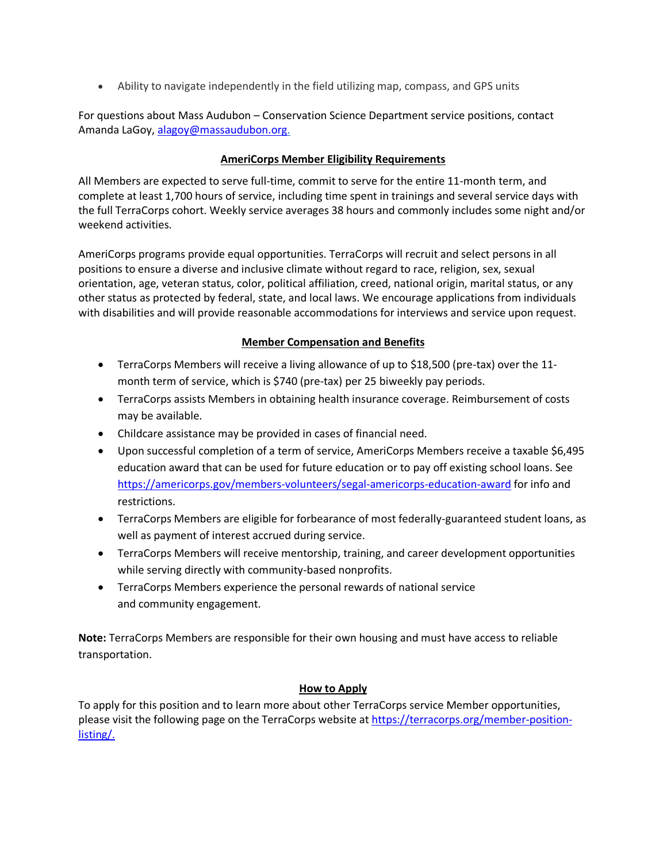• Ability to navigate independently in the field utilizing map, compass, and GPS units

For questions about Mass Audubon – Conservation Science Department service positions, contact Amanda LaGoy[, alagoy@massaudubon.org.](mailto:alagoy@massaudubon.org)

## **AmeriCorps Member Eligibility Requirements**

All Members are expected to serve full-time, commit to serve for the entire 11-month term, and complete at least 1,700 hours of service, including time spent in trainings and several service days with the full TerraCorps cohort. Weekly service averages 38 hours and commonly includes some night and/or weekend activities.

AmeriCorps programs provide equal opportunities. TerraCorps will recruit and select persons in all positions to ensure a diverse and inclusive climate without regard to race, religion, sex, sexual orientation, age, veteran status, color, political affiliation, creed, national origin, marital status, or any other status as protected by federal, state, and local laws. We encourage applications from individuals with disabilities and will provide reasonable accommodations for interviews and service upon request.

## **Member Compensation and Benefits**

- TerraCorps Members will receive a living allowance of up to \$18,500 (pre-tax) over the 11 month term of service, which is \$740 (pre-tax) per 25 biweekly pay periods.
- TerraCorps assists Members in obtaining health insurance coverage. Reimbursement of costs may be available.
- Childcare assistance may be provided in cases of financial need.
- Upon successful completion of a term of service, AmeriCorps Members receive a taxable \$6,495 education award that can be used for future education or to pay off existing school loans. See <https://americorps.gov/members-volunteers/segal-americorps-education-award> for info and restrictions.
- TerraCorps Members are eligible for forbearance of most federally-guaranteed student loans, as well as payment of interest accrued during service.
- TerraCorps Members will receive mentorship, training, and career development opportunities while serving directly with community-based nonprofits.
- TerraCorps Members experience the personal rewards of national service and community engagement.

**Note:** TerraCorps Members are responsible for their own housing and must have access to reliable transportation.

#### **How to Apply**

To apply for this position and to learn more about other TerraCorps service Member opportunities, please visit the following page on the TerraCorps website at [https://terracorps.org/member-position](https://terracorps.org/member-position-listing/)[listing/.](https://terracorps.org/member-position-listing/)